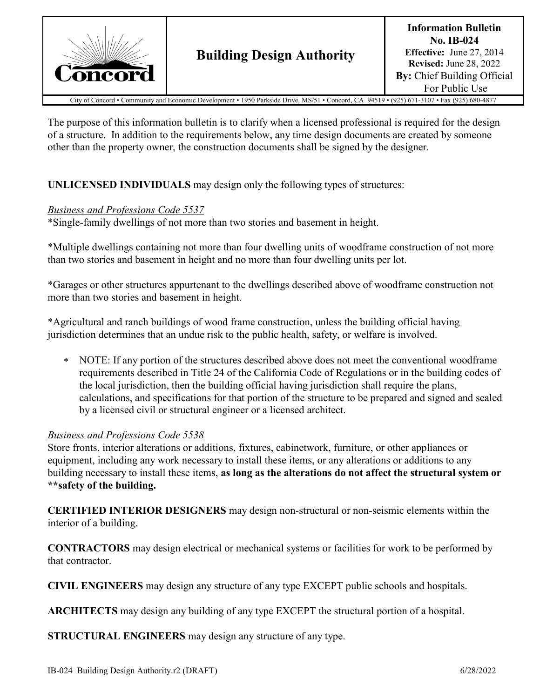

City of Concord • Community and Economic Development • 1950 Parkside Drive, MS/51 • Concord, CA 94519 • (925) 671-3107 • Fax (925) 680-4877

The purpose of this information bulletin is to clarify when a licensed professional is required for the design of a structure. In addition to the requirements below, any time design documents are created by someone other than the property owner, the construction documents shall be signed by the designer.

## **UNLICENSED INDIVIDUALS** may design only the following types of structures:

## *Business and Professions Code 5537*

\*Single-family dwellings of not more than two stories and basement in height.

\*Multiple dwellings containing not more than four dwelling units of woodframe construction of not more than two stories and basement in height and no more than four dwelling units per lot.

\*Garages or other structures appurtenant to the dwellings described above of woodframe construction not more than two stories and basement in height.

\*Agricultural and ranch buildings of wood frame construction, unless the building official having jurisdiction determines that an undue risk to the public health, safety, or welfare is involved.

∗ NOTE: If any portion of the structures described above does not meet the conventional woodframe requirements described in Title 24 of the California Code of Regulations or in the building codes of the local jurisdiction, then the building official having jurisdiction shall require the plans, calculations, and specifications for that portion of the structure to be prepared and signed and sealed by a licensed civil or structural engineer or a licensed architect.

## *Business and Professions Code 5538*

Store fronts, interior alterations or additions, fixtures, cabinetwork, furniture, or other appliances or equipment, including any work necessary to install these items, or any alterations or additions to any building necessary to install these items, **as long as the alterations do not affect the structural system or \*\*safety of the building.**

**CERTIFIED INTERIOR DESIGNERS** may design non-structural or non-seismic elements within the interior of a building.

**CONTRACTORS** may design electrical or mechanical systems or facilities for work to be performed by that contractor.

**CIVIL ENGINEERS** may design any structure of any type EXCEPT public schools and hospitals.

**ARCHITECTS** may design any building of any type EXCEPT the structural portion of a hospital.

**STRUCTURAL ENGINEERS** may design any structure of any type.